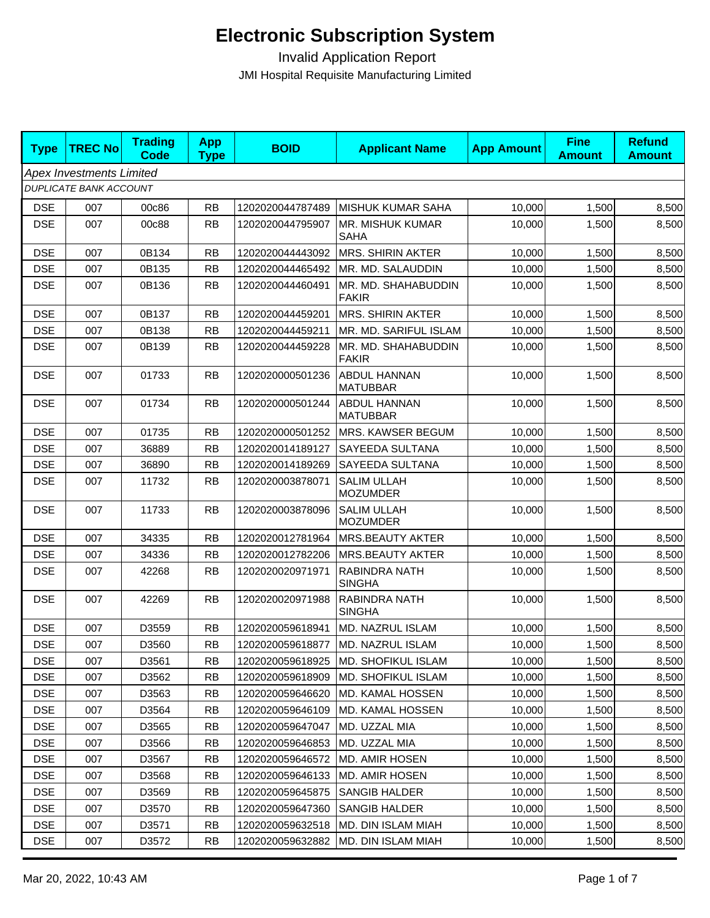| <b>Type</b> | <b>TREC No</b>                  | <b>Trading</b><br>Code | <b>App</b><br><b>Type</b> | <b>BOID</b>      | <b>Applicant Name</b>                 | <b>App Amount</b> | <b>Fine</b><br><b>Amount</b> | <b>Refund</b><br><b>Amount</b> |
|-------------|---------------------------------|------------------------|---------------------------|------------------|---------------------------------------|-------------------|------------------------------|--------------------------------|
|             | <b>Apex Investments Limited</b> |                        |                           |                  |                                       |                   |                              |                                |
|             | <b>DUPLICATE BANK ACCOUNT</b>   |                        |                           |                  |                                       |                   |                              |                                |
| <b>DSE</b>  | 007                             | 00c86                  | <b>RB</b>                 | 1202020044787489 | <b>MISHUK KUMAR SAHA</b>              | 10,000            | 1,500                        | 8,500                          |
| <b>DSE</b>  | 007                             | 00c88                  | <b>RB</b>                 | 1202020044795907 | MR. MISHUK KUMAR<br>SAHA              | 10,000            | 1,500                        | 8,500                          |
| <b>DSE</b>  | 007                             | 0B134                  | <b>RB</b>                 | 1202020044443092 | <b>MRS. SHIRIN AKTER</b>              | 10.000            | 1,500                        | 8,500                          |
| <b>DSE</b>  | 007                             | 0B135                  | <b>RB</b>                 | 1202020044465492 | MR. MD. SALAUDDIN                     | 10,000            | 1,500                        | 8,500                          |
| <b>DSE</b>  | 007                             | 0B136                  | <b>RB</b>                 | 1202020044460491 | MR. MD. SHAHABUDDIN<br><b>FAKIR</b>   | 10,000            | 1,500                        | 8,500                          |
| <b>DSE</b>  | 007                             | 0B137                  | <b>RB</b>                 | 1202020044459201 | <b>MRS. SHIRIN AKTER</b>              | 10,000            | 1,500                        | 8,500                          |
| <b>DSE</b>  | 007                             | 0B138                  | <b>RB</b>                 | 1202020044459211 | MR. MD. SARIFUL ISLAM                 | 10,000            | 1,500                        | 8,500                          |
| <b>DSE</b>  | 007                             | 0B139                  | <b>RB</b>                 | 1202020044459228 | MR. MD. SHAHABUDDIN<br><b>FAKIR</b>   | 10,000            | 1,500                        | 8,500                          |
| <b>DSE</b>  | 007                             | 01733                  | <b>RB</b>                 | 1202020000501236 | ABDUL HANNAN<br><b>MATUBBAR</b>       | 10,000            | 1,500                        | 8,500                          |
| <b>DSE</b>  | 007                             | 01734                  | <b>RB</b>                 | 1202020000501244 | ABDUL HANNAN<br><b>MATUBBAR</b>       | 10,000            | 1,500                        | 8,500                          |
| <b>DSE</b>  | 007                             | 01735                  | <b>RB</b>                 | 1202020000501252 | MRS. KAWSER BEGUM                     | 10,000            | 1,500                        | 8,500                          |
| <b>DSE</b>  | 007                             | 36889                  | <b>RB</b>                 | 1202020014189127 | SAYEEDA SULTANA                       | 10,000            | 1,500                        | 8,500                          |
| <b>DSE</b>  | 007                             | 36890                  | <b>RB</b>                 | 1202020014189269 | <b>SAYEEDA SULTANA</b>                | 10,000            | 1,500                        | 8,500                          |
| <b>DSE</b>  | 007                             | 11732                  | <b>RB</b>                 | 1202020003878071 | <b>SALIM ULLAH</b><br><b>MOZUMDER</b> | 10,000            | 1,500                        | 8,500                          |
| <b>DSE</b>  | 007                             | 11733                  | <b>RB</b>                 | 1202020003878096 | <b>SALIM ULLAH</b><br><b>MOZUMDER</b> | 10,000            | 1,500                        | 8,500                          |
| <b>DSE</b>  | 007                             | 34335                  | <b>RB</b>                 | 1202020012781964 | <b>MRS.BEAUTY AKTER</b>               | 10,000            | 1,500                        | 8,500                          |
| <b>DSE</b>  | 007                             | 34336                  | <b>RB</b>                 | 1202020012782206 | <b>MRS.BEAUTY AKTER</b>               | 10,000            | 1,500                        | 8,500                          |
| <b>DSE</b>  | 007                             | 42268                  | <b>RB</b>                 | 1202020020971971 | RABINDRA NATH<br><b>SINGHA</b>        | 10,000            | 1,500                        | 8,500                          |
| <b>DSE</b>  | 007                             | 42269                  | <b>RB</b>                 | 1202020020971988 | <b>RABINDRA NATH</b><br><b>SINGHA</b> | 10,000            | 1,500                        | 8,500                          |
| <b>DSE</b>  | 007                             | D3559                  | <b>RB</b>                 | 1202020059618941 | <b>MD. NAZRUL ISLAM</b>               | 10,000            | 1,500                        | 8,500                          |
| <b>DSE</b>  | 007                             | D3560                  | <b>RB</b>                 | 1202020059618877 | <b>MD. NAZRUL ISLAM</b>               | 10,000            | 1,500                        | 8,500                          |
| <b>DSE</b>  | 007                             | D3561                  | <b>RB</b>                 | 1202020059618925 | <b>MD. SHOFIKUL ISLAM</b>             | 10,000            | 1,500                        | 8,500                          |
| <b>DSE</b>  | 007                             | D3562                  | <b>RB</b>                 | 1202020059618909 | <b>MD. SHOFIKUL ISLAM</b>             | 10,000            | 1,500                        | 8,500                          |
| <b>DSE</b>  | 007                             | D3563                  | <b>RB</b>                 | 1202020059646620 | MD. KAMAL HOSSEN                      | 10,000            | 1,500                        | 8,500                          |
| <b>DSE</b>  | 007                             | D3564                  | <b>RB</b>                 | 1202020059646109 | MD. KAMAL HOSSEN                      | 10,000            | 1,500                        | 8,500                          |
| <b>DSE</b>  | 007                             | D3565                  | <b>RB</b>                 | 1202020059647047 | MD. UZZAL MIA                         | 10,000            | 1,500                        | 8,500                          |
| <b>DSE</b>  | 007                             | D3566                  | <b>RB</b>                 | 1202020059646853 | MD. UZZAL MIA                         | 10,000            | 1,500                        | 8,500                          |
| <b>DSE</b>  | 007                             | D3567                  | <b>RB</b>                 | 1202020059646572 | <b>MD. AMIR HOSEN</b>                 | 10,000            | 1,500                        | 8,500                          |
| <b>DSE</b>  | 007                             | D3568                  | <b>RB</b>                 | 1202020059646133 | MD. AMIR HOSEN                        | 10,000            | 1,500                        | 8,500                          |
| <b>DSE</b>  | 007                             | D3569                  | <b>RB</b>                 | 1202020059645875 | <b>SANGIB HALDER</b>                  | 10,000            | 1,500                        | 8,500                          |
| <b>DSE</b>  | 007                             | D3570                  | <b>RB</b>                 | 1202020059647360 | <b>SANGIB HALDER</b>                  | 10,000            | 1,500                        | 8,500                          |
| <b>DSE</b>  | 007                             | D3571                  | <b>RB</b>                 | 1202020059632518 | <b>MD. DIN ISLAM MIAH</b>             | 10,000            | 1,500                        | 8,500                          |
| <b>DSE</b>  | 007                             | D3572                  | <b>RB</b>                 | 1202020059632882 | MD. DIN ISLAM MIAH                    | 10,000            | 1,500                        | 8,500                          |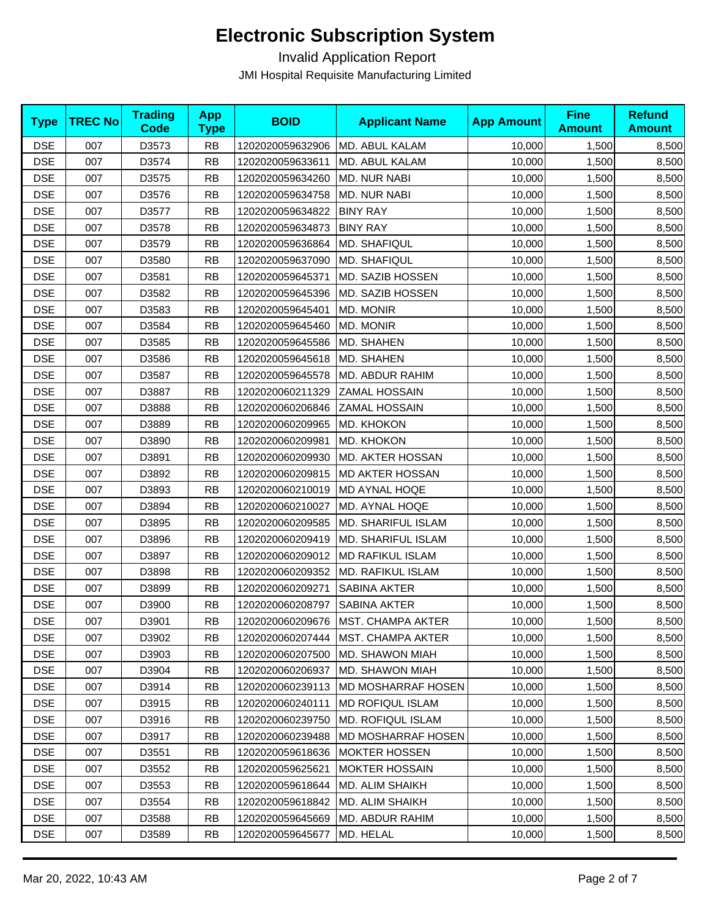| <b>Type</b> | <b>TREC No</b> | <b>Trading</b><br><b>Code</b> | <b>App</b><br><b>Type</b> | <b>BOID</b>      | <b>Applicant Name</b>     | <b>App Amount</b> | <b>Fine</b><br><b>Amount</b> | <b>Refund</b><br><b>Amount</b> |
|-------------|----------------|-------------------------------|---------------------------|------------------|---------------------------|-------------------|------------------------------|--------------------------------|
| <b>DSE</b>  | 007            | D3573                         | <b>RB</b>                 | 1202020059632906 | MD. ABUL KALAM            | 10,000            | 1,500                        | 8,500                          |
| <b>DSE</b>  | 007            | D3574                         | <b>RB</b>                 | 1202020059633611 | MD. ABUL KALAM            | 10,000            | 1,500                        | 8,500                          |
| <b>DSE</b>  | 007            | D3575                         | <b>RB</b>                 | 1202020059634260 | MD. NUR NABI              | 10,000            | 1,500                        | 8,500                          |
| <b>DSE</b>  | 007            | D3576                         | <b>RB</b>                 | 1202020059634758 | <b>MD. NUR NABI</b>       | 10,000            | 1,500                        | 8,500                          |
| <b>DSE</b>  | 007            | D3577                         | <b>RB</b>                 | 1202020059634822 | <b>BINY RAY</b>           | 10,000            | 1,500                        | 8,500                          |
| <b>DSE</b>  | 007            | D3578                         | <b>RB</b>                 | 1202020059634873 | <b>BINY RAY</b>           | 10,000            | 1,500                        | 8,500                          |
| <b>DSE</b>  | 007            | D3579                         | <b>RB</b>                 | 1202020059636864 | MD. SHAFIQUL              | 10,000            | 1,500                        | 8,500                          |
| <b>DSE</b>  | 007            | D3580                         | <b>RB</b>                 | 1202020059637090 | <b>MD. SHAFIQUL</b>       | 10,000            | 1,500                        | 8,500                          |
| <b>DSE</b>  | 007            | D3581                         | RB                        | 1202020059645371 | MD. SAZIB HOSSEN          | 10,000            | 1,500                        | 8,500                          |
| <b>DSE</b>  | 007            | D3582                         | <b>RB</b>                 | 1202020059645396 | MD. SAZIB HOSSEN          | 10,000            | 1,500                        | 8,500                          |
| <b>DSE</b>  | 007            | D3583                         | <b>RB</b>                 | 1202020059645401 | MD. MONIR                 | 10,000            | 1,500                        | 8,500                          |
| <b>DSE</b>  | 007            | D3584                         | RB                        | 1202020059645460 | MD. MONIR                 | 10,000            | 1,500                        | 8,500                          |
| <b>DSE</b>  | 007            | D3585                         | <b>RB</b>                 | 1202020059645586 | MD. SHAHEN                | 10,000            | 1,500                        | 8,500                          |
| <b>DSE</b>  | 007            | D3586                         | <b>RB</b>                 | 1202020059645618 | MD. SHAHEN                | 10,000            | 1,500                        | 8,500                          |
| <b>DSE</b>  | 007            | D3587                         | RB                        | 1202020059645578 | MD. ABDUR RAHIM           | 10,000            | 1,500                        | 8,500                          |
| <b>DSE</b>  | 007            | D3887                         | <b>RB</b>                 | 1202020060211329 | <b>ZAMAL HOSSAIN</b>      | 10,000            | 1,500                        | 8,500                          |
| <b>DSE</b>  | 007            | D3888                         | <b>RB</b>                 | 1202020060206846 | <b>ZAMAL HOSSAIN</b>      | 10,000            | 1,500                        | 8,500                          |
| <b>DSE</b>  | 007            | D3889                         | <b>RB</b>                 | 1202020060209965 | MD. KHOKON                | 10,000            | 1,500                        | 8,500                          |
| <b>DSE</b>  | 007            | D3890                         | <b>RB</b>                 | 1202020060209981 | MD. KHOKON                | 10,000            | 1,500                        | 8,500                          |
| <b>DSE</b>  | 007            | D3891                         | <b>RB</b>                 | 1202020060209930 | MD. AKTER HOSSAN          | 10,000            | 1,500                        | 8,500                          |
| <b>DSE</b>  | 007            | D3892                         | <b>RB</b>                 | 1202020060209815 | <b>MD AKTER HOSSAN</b>    | 10,000            | 1,500                        | 8,500                          |
| <b>DSE</b>  | 007            | D3893                         | <b>RB</b>                 | 1202020060210019 | <b>MD AYNAL HOQE</b>      | 10,000            | 1,500                        | 8,500                          |
| <b>DSE</b>  | 007            | D3894                         | RB                        | 1202020060210027 | MD. AYNAL HOQE            | 10,000            | 1,500                        | 8,500                          |
| <b>DSE</b>  | 007            | D3895                         | <b>RB</b>                 | 1202020060209585 | <b>MD. SHARIFUL ISLAM</b> | 10,000            | 1,500                        | 8,500                          |
| <b>DSE</b>  | 007            | D3896                         | <b>RB</b>                 | 1202020060209419 | <b>MD. SHARIFUL ISLAM</b> | 10,000            | 1,500                        | 8,500                          |
| <b>DSE</b>  | 007            | D3897                         | RB                        | 1202020060209012 | <b>MD RAFIKUL ISLAM</b>   | 10,000            | 1,500                        | 8,500                          |
| <b>DSE</b>  | 007            | D3898                         | <b>RB</b>                 | 1202020060209352 | MD. RAFIKUL ISLAM         | 10,000            | 1,500                        | 8,500                          |
| <b>DSE</b>  | 007            | D3899                         | <b>RB</b>                 | 1202020060209271 | <b>SABINA AKTER</b>       | 10,000            | 1,500                        | 8,500                          |
| <b>DSE</b>  | 007            | D3900                         | <b>RB</b>                 | 1202020060208797 | SABINA AKTER              | 10,000            | 1,500                        | 8,500                          |
| <b>DSE</b>  | 007            | D3901                         | <b>RB</b>                 | 1202020060209676 | MST. CHAMPA AKTER         | 10,000            | 1,500                        | 8,500                          |
| <b>DSE</b>  | 007            | D3902                         | <b>RB</b>                 | 1202020060207444 | <b>MST. CHAMPA AKTER</b>  | 10,000            | 1,500                        | 8,500                          |
| <b>DSE</b>  | 007            | D3903                         | <b>RB</b>                 | 1202020060207500 | MD. SHAWON MIAH           | 10,000            | 1,500                        | 8,500                          |
| <b>DSE</b>  | 007            | D3904                         | <b>RB</b>                 | 1202020060206937 | <b>MD. SHAWON MIAH</b>    | 10,000            | 1,500                        | 8,500                          |
| <b>DSE</b>  | 007            | D3914                         | <b>RB</b>                 | 1202020060239113 | MD MOSHARRAF HOSEN        | 10,000            | 1,500                        | 8,500                          |
| <b>DSE</b>  | 007            | D3915                         | <b>RB</b>                 | 1202020060240111 | <b>MD ROFIQUL ISLAM</b>   | 10,000            | 1,500                        | 8,500                          |
| <b>DSE</b>  | 007            | D3916                         | <b>RB</b>                 | 1202020060239750 | <b>MD. ROFIQUL ISLAM</b>  | 10,000            | 1,500                        | 8,500                          |
| <b>DSE</b>  | 007            | D3917                         | <b>RB</b>                 | 1202020060239488 | MD MOSHARRAF HOSEN        | 10,000            | 1,500                        | 8,500                          |
| <b>DSE</b>  | 007            | D3551                         | <b>RB</b>                 | 1202020059618636 | <b>MOKTER HOSSEN</b>      | 10,000            | 1,500                        | 8,500                          |
| <b>DSE</b>  | 007            | D3552                         | RB                        | 1202020059625621 | <b>MOKTER HOSSAIN</b>     | 10,000            | 1,500                        | 8,500                          |
| <b>DSE</b>  | 007            | D3553                         | <b>RB</b>                 | 1202020059618644 | MD. ALIM SHAIKH           | 10,000            | 1,500                        | 8,500                          |
| <b>DSE</b>  | 007            | D3554                         | <b>RB</b>                 | 1202020059618842 | MD. ALIM SHAIKH           | 10,000            | 1,500                        | 8,500                          |
| <b>DSE</b>  | 007            | D3588                         | <b>RB</b>                 | 1202020059645669 | MD. ABDUR RAHIM           | 10,000            | 1,500                        | 8,500                          |
| <b>DSE</b>  | 007            | D3589                         | <b>RB</b>                 | 1202020059645677 | MD. HELAL                 | 10,000            | 1,500                        | 8,500                          |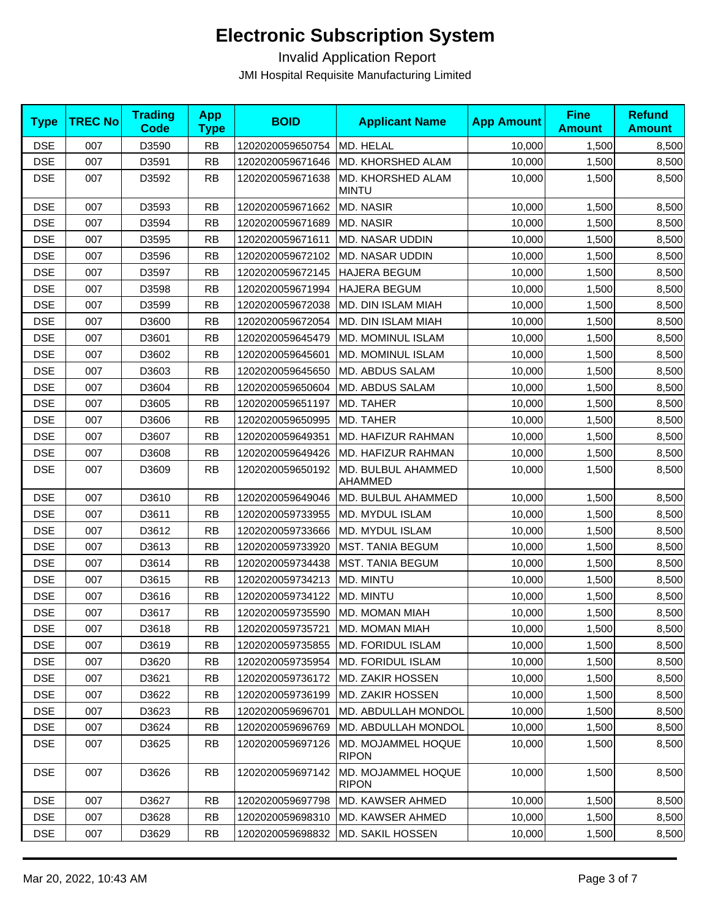| <b>Type</b> | <b>TREC No</b> | <b>Trading</b><br><b>Code</b> | <b>App</b><br><b>Type</b> | <b>BOID</b>      | <b>Applicant Name</b>              | <b>App Amount</b> | <b>Fine</b><br><b>Amount</b> | <b>Refund</b><br><b>Amount</b> |
|-------------|----------------|-------------------------------|---------------------------|------------------|------------------------------------|-------------------|------------------------------|--------------------------------|
| <b>DSE</b>  | 007            | D3590                         | <b>RB</b>                 | 1202020059650754 | MD. HELAL                          | 10,000            | 1,500                        | 8,500                          |
| <b>DSE</b>  | 007            | D3591                         | <b>RB</b>                 | 1202020059671646 | <b>MD. KHORSHED ALAM</b>           | 10,000            | 1,500                        | 8,500                          |
| <b>DSE</b>  | 007            | D3592                         | <b>RB</b>                 | 1202020059671638 | MD. KHORSHED ALAM<br><b>MINTU</b>  | 10,000            | 1,500                        | 8,500                          |
| <b>DSE</b>  | 007            | D3593                         | <b>RB</b>                 | 1202020059671662 | <b>MD. NASIR</b>                   | 10,000            | 1,500                        | 8,500                          |
| <b>DSE</b>  | 007            | D3594                         | <b>RB</b>                 | 1202020059671689 | <b>MD. NASIR</b>                   | 10,000            | 1,500                        | 8,500                          |
| <b>DSE</b>  | 007            | D3595                         | <b>RB</b>                 | 1202020059671611 | MD. NASAR UDDIN                    | 10,000            | 1,500                        | 8,500                          |
| <b>DSE</b>  | 007            | D3596                         | <b>RB</b>                 | 1202020059672102 | MD. NASAR UDDIN                    | 10,000            | 1,500                        | 8,500                          |
| <b>DSE</b>  | 007            | D3597                         | <b>RB</b>                 | 1202020059672145 | <b>HAJERA BEGUM</b>                | 10,000            | 1,500                        | 8,500                          |
| <b>DSE</b>  | 007            | D3598                         | <b>RB</b>                 | 1202020059671994 | <b>HAJERA BEGUM</b>                | 10,000            | 1,500                        | 8,500                          |
| <b>DSE</b>  | 007            | D3599                         | <b>RB</b>                 | 1202020059672038 | <b>MD. DIN ISLAM MIAH</b>          | 10,000            | 1,500                        | 8,500                          |
| <b>DSE</b>  | 007            | D3600                         | <b>RB</b>                 | 1202020059672054 | <b>MD. DIN ISLAM MIAH</b>          | 10,000            | 1,500                        | 8,500                          |
| <b>DSE</b>  | 007            | D3601                         | <b>RB</b>                 | 1202020059645479 | MD. MOMINUL ISLAM                  | 10,000            | 1,500                        | 8,500                          |
| <b>DSE</b>  | 007            | D3602                         | <b>RB</b>                 | 1202020059645601 | MD. MOMINUL ISLAM                  | 10,000            | 1,500                        | 8,500                          |
| <b>DSE</b>  | 007            | D3603                         | <b>RB</b>                 | 1202020059645650 | MD. ABDUS SALAM                    | 10,000            | 1,500                        | 8,500                          |
| <b>DSE</b>  | 007            | D3604                         | <b>RB</b>                 | 1202020059650604 | MD. ABDUS SALAM                    | 10,000            | 1,500                        | 8,500                          |
| <b>DSE</b>  | 007            | D3605                         | <b>RB</b>                 | 1202020059651197 | <b>MD. TAHER</b>                   | 10,000            | 1,500                        | 8,500                          |
| <b>DSE</b>  | 007            | D3606                         | <b>RB</b>                 | 1202020059650995 | MD. TAHER                          | 10,000            | 1,500                        | 8,500                          |
| <b>DSE</b>  | 007            | D3607                         | <b>RB</b>                 | 1202020059649351 | MD. HAFIZUR RAHMAN                 | 10,000            | 1,500                        | 8,500                          |
| <b>DSE</b>  | 007            | D3608                         | <b>RB</b>                 | 1202020059649426 | MD. HAFIZUR RAHMAN                 | 10,000            | 1,500                        | 8,500                          |
| <b>DSE</b>  | 007            | D3609                         | <b>RB</b>                 | 1202020059650192 | MD. BULBUL AHAMMED<br>AHAMMED      | 10,000            | 1,500                        | 8,500                          |
| <b>DSE</b>  | 007            | D3610                         | <b>RB</b>                 | 1202020059649046 | MD. BULBUL AHAMMED                 | 10,000            | 1,500                        | 8,500                          |
| <b>DSE</b>  | 007            | D3611                         | <b>RB</b>                 | 1202020059733955 | MD. MYDUL ISLAM                    | 10,000            | 1,500                        | 8,500                          |
| <b>DSE</b>  | 007            | D3612                         | <b>RB</b>                 | 1202020059733666 | MD. MYDUL ISLAM                    | 10,000            | 1,500                        | 8,500                          |
| <b>DSE</b>  | 007            | D3613                         | <b>RB</b>                 | 1202020059733920 | MST. TANIA BEGUM                   | 10,000            | 1,500                        | 8,500                          |
| <b>DSE</b>  | 007            | D3614                         | <b>RB</b>                 | 1202020059734438 | <b>MST. TANIA BEGUM</b>            | 10,000            | 1,500                        | 8,500                          |
| <b>DSE</b>  | 007            | D3615                         | <b>RB</b>                 | 1202020059734213 | MD. MINTU                          | 10,000            | 1,500                        | 8,500                          |
| <b>DSE</b>  | 007            | D3616                         | <b>RB</b>                 | 1202020059734122 | MD. MINTU                          | 10,000            | 1,500                        | 8,500                          |
| <b>DSE</b>  | 007            | D3617                         | <b>RB</b>                 | 1202020059735590 | MD. MOMAN MIAH                     | 10,000            | 1,500                        | 8,500                          |
| DSE         | 007            | D3618                         | <b>RB</b>                 | 1202020059735721 | MD. MOMAN MIAH                     | 10,000            | 1,500                        | 8,500                          |
| <b>DSE</b>  | 007            | D3619                         | RB                        | 1202020059735855 | <b>MD. FORIDUL ISLAM</b>           | 10,000            | 1,500                        | 8,500                          |
| <b>DSE</b>  | 007            | D3620                         | <b>RB</b>                 | 1202020059735954 | MD. FORIDUL ISLAM                  | 10,000            | 1,500                        | 8,500                          |
| <b>DSE</b>  | 007            | D3621                         | <b>RB</b>                 | 1202020059736172 | <b>MD. ZAKIR HOSSEN</b>            | 10,000            | 1,500                        | 8,500                          |
| <b>DSE</b>  | 007            | D3622                         | <b>RB</b>                 | 1202020059736199 | MD. ZAKIR HOSSEN                   | 10,000            | 1,500                        | 8,500                          |
| <b>DSE</b>  | 007            | D3623                         | <b>RB</b>                 | 1202020059696701 | MD. ABDULLAH MONDOL                | 10,000            | 1,500                        | 8,500                          |
| <b>DSE</b>  | 007            | D3624                         | <b>RB</b>                 | 1202020059696769 | <b>MD. ABDULLAH MONDOL</b>         | 10,000            | 1,500                        | 8,500                          |
| <b>DSE</b>  | 007            | D3625                         | <b>RB</b>                 | 1202020059697126 | MD. MOJAMMEL HOQUE<br><b>RIPON</b> | 10,000            | 1,500                        | 8,500                          |
| <b>DSE</b>  | 007            | D3626                         | <b>RB</b>                 | 1202020059697142 | MD. MOJAMMEL HOQUE<br><b>RIPON</b> | 10,000            | 1,500                        | 8,500                          |
| <b>DSE</b>  | 007            | D3627                         | <b>RB</b>                 | 1202020059697798 | <b>MD. KAWSER AHMED</b>            | 10,000            | 1,500                        | 8,500                          |
| <b>DSE</b>  | 007            | D3628                         | <b>RB</b>                 | 1202020059698310 | MD. KAWSER AHMED                   | 10,000            | 1,500                        | 8,500                          |
| <b>DSE</b>  | 007            | D3629                         | <b>RB</b>                 | 1202020059698832 | MD. SAKIL HOSSEN                   | 10,000            | 1,500                        | 8,500                          |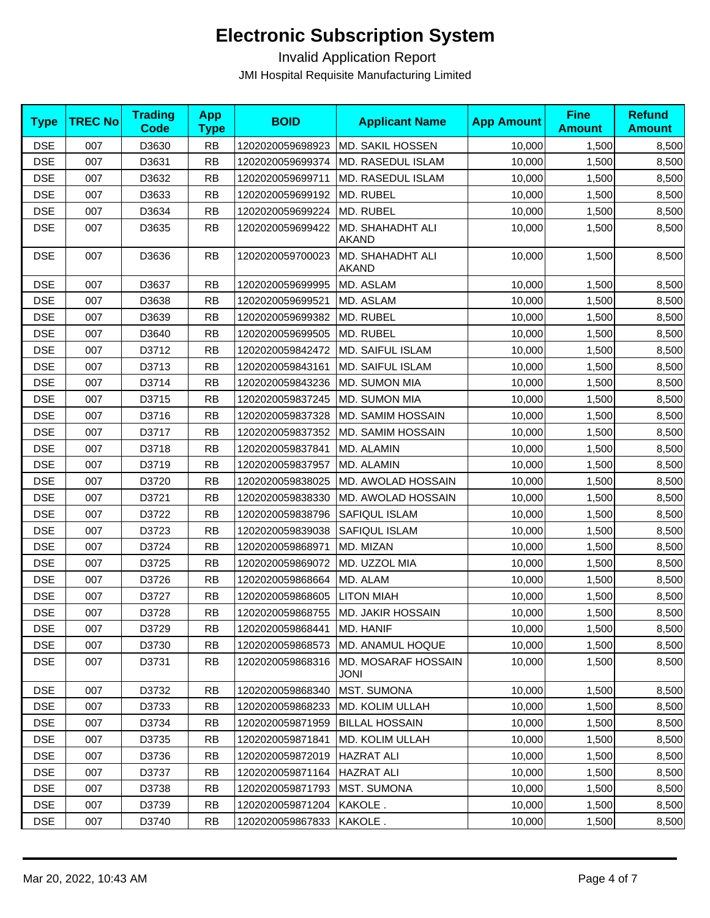| <b>Type</b> | <b>TREC No</b> | <b>Trading</b><br><b>Code</b> | <b>App</b><br><b>Type</b> | <b>BOID</b>      | <b>Applicant Name</b>              | <b>App Amount</b> | <b>Fine</b><br><b>Amount</b> | <b>Refund</b><br><b>Amount</b> |
|-------------|----------------|-------------------------------|---------------------------|------------------|------------------------------------|-------------------|------------------------------|--------------------------------|
| <b>DSE</b>  | 007            | D3630                         | <b>RB</b>                 | 1202020059698923 | MD. SAKIL HOSSEN                   | 10,000            | 1,500                        | 8,500                          |
| <b>DSE</b>  | 007            | D3631                         | <b>RB</b>                 | 1202020059699374 | MD. RASEDUL ISLAM                  | 10,000            | 1,500                        | 8,500                          |
| <b>DSE</b>  | 007            | D3632                         | <b>RB</b>                 | 1202020059699711 | MD. RASEDUL ISLAM                  | 10,000            | 1,500                        | 8,500                          |
| <b>DSE</b>  | 007            | D3633                         | <b>RB</b>                 | 1202020059699192 | MD. RUBEL                          | 10,000            | 1,500                        | 8,500                          |
| <b>DSE</b>  | 007            | D3634                         | <b>RB</b>                 | 1202020059699224 | MD. RUBEL                          | 10,000            | 1,500                        | 8,500                          |
| <b>DSE</b>  | 007            | D3635                         | <b>RB</b>                 | 1202020059699422 | MD. SHAHADHT ALI<br><b>AKAND</b>   | 10,000            | 1,500                        | 8,500                          |
| <b>DSE</b>  | 007            | D3636                         | <b>RB</b>                 | 1202020059700023 | MD. SHAHADHT ALI<br><b>AKAND</b>   | 10,000            | 1,500                        | 8,500                          |
| <b>DSE</b>  | 007            | D3637                         | <b>RB</b>                 | 1202020059699995 | MD. ASLAM                          | 10,000            | 1,500                        | 8,500                          |
| <b>DSE</b>  | 007            | D3638                         | <b>RB</b>                 | 1202020059699521 | MD. ASLAM                          | 10,000            | 1,500                        | 8,500                          |
| <b>DSE</b>  | 007            | D3639                         | <b>RB</b>                 | 1202020059699382 | MD. RUBEL                          | 10,000            | 1,500                        | 8,500                          |
| <b>DSE</b>  | 007            | D3640                         | <b>RB</b>                 | 1202020059699505 | MD. RUBEL                          | 10,000            | 1,500                        | 8,500                          |
| <b>DSE</b>  | 007            | D3712                         | <b>RB</b>                 | 1202020059842472 | MD. SAIFUL ISLAM                   | 10,000            | 1,500                        | 8,500                          |
| <b>DSE</b>  | 007            | D3713                         | <b>RB</b>                 | 1202020059843161 | MD. SAIFUL ISLAM                   | 10,000            | 1,500                        | 8,500                          |
| <b>DSE</b>  | 007            | D3714                         | <b>RB</b>                 | 1202020059843236 | MD. SUMON MIA                      | 10,000            | 1,500                        | 8,500                          |
| <b>DSE</b>  | 007            | D3715                         | <b>RB</b>                 | 1202020059837245 | MD. SUMON MIA                      | 10,000            | 1,500                        | 8,500                          |
| <b>DSE</b>  | 007            | D3716                         | <b>RB</b>                 | 1202020059837328 | MD. SAMIM HOSSAIN                  | 10,000            | 1,500                        | 8,500                          |
| <b>DSE</b>  | 007            | D3717                         | <b>RB</b>                 | 1202020059837352 | MD. SAMIM HOSSAIN                  | 10,000            | 1,500                        | 8,500                          |
| <b>DSE</b>  | 007            | D3718                         | <b>RB</b>                 | 1202020059837841 | MD. ALAMIN                         | 10,000            | 1,500                        | 8,500                          |
| <b>DSE</b>  | 007            | D3719                         | <b>RB</b>                 | 1202020059837957 | MD. ALAMIN                         | 10,000            | 1,500                        | 8,500                          |
| <b>DSE</b>  | 007            | D3720                         | <b>RB</b>                 | 1202020059838025 | MD. AWOLAD HOSSAIN                 | 10,000            | 1,500                        | 8,500                          |
| <b>DSE</b>  | 007            | D3721                         | <b>RB</b>                 | 1202020059838330 | MD. AWOLAD HOSSAIN                 | 10,000            | 1,500                        | 8,500                          |
| <b>DSE</b>  | 007            | D3722                         | <b>RB</b>                 | 1202020059838796 | SAFIQUL ISLAM                      | 10,000            | 1,500                        | 8,500                          |
| <b>DSE</b>  | 007            | D3723                         | <b>RB</b>                 | 1202020059839038 | SAFIQUL ISLAM                      | 10,000            | 1,500                        | 8,500                          |
| <b>DSE</b>  | 007            | D3724                         | <b>RB</b>                 | 1202020059868971 | MD. MIZAN                          | 10,000            | 1,500                        | 8,500                          |
| <b>DSE</b>  | 007            | D3725                         | <b>RB</b>                 | 1202020059869072 | MD. UZZOL MIA                      | 10,000            | 1,500                        | 8,500                          |
| <b>DSE</b>  | 007            | D3726                         | <b>RB</b>                 | 1202020059868664 | MD. ALAM                           | 10,000            | 1,500                        | 8,500                          |
| <b>DSE</b>  | 007            | D3727                         | <b>RB</b>                 | 1202020059868605 | <b>LITON MIAH</b>                  | 10,000            | 1,500                        | 8,500                          |
| <b>DSE</b>  | 007            | D3728                         | <b>RB</b>                 | 1202020059868755 | <b>MD. JAKIR HOSSAIN</b>           | 10,000            | 1,500                        | 8,500                          |
| <b>DSE</b>  | 007            | D3729                         | <b>RB</b>                 | 1202020059868441 | MD. HANIF                          | 10,000            | 1,500                        | 8,500                          |
| <b>DSE</b>  | 007            | D3730                         | RB                        | 1202020059868573 | <b>MD. ANAMUL HOQUE</b>            | 10,000            | 1,500                        | 8,500                          |
| <b>DSE</b>  | 007            | D3731                         | <b>RB</b>                 | 1202020059868316 | MD. MOSARAF HOSSAIN<br><b>JONI</b> | 10,000            | 1,500                        | 8,500                          |
| <b>DSE</b>  | 007            | D3732                         | <b>RB</b>                 | 1202020059868340 | <b>MST. SUMONA</b>                 | 10,000            | 1,500                        | 8,500                          |
| <b>DSE</b>  | 007            | D3733                         | <b>RB</b>                 | 1202020059868233 | MD. KOLIM ULLAH                    | 10,000            | 1,500                        | 8,500                          |
| <b>DSE</b>  | 007            | D3734                         | <b>RB</b>                 | 1202020059871959 | <b>BILLAL HOSSAIN</b>              | 10,000            | 1,500                        | 8,500                          |
| <b>DSE</b>  | 007            | D3735                         | <b>RB</b>                 | 1202020059871841 | MD. KOLIM ULLAH                    | 10,000            | 1,500                        | 8,500                          |
| <b>DSE</b>  | 007            | D3736                         | <b>RB</b>                 | 1202020059872019 | <b>HAZRAT ALI</b>                  | 10,000            | 1,500                        | 8,500                          |
| <b>DSE</b>  | 007            | D3737                         | <b>RB</b>                 | 1202020059871164 | lHAZRAT ALI                        | 10,000            | 1,500                        | 8,500                          |
| <b>DSE</b>  | 007            | D3738                         | <b>RB</b>                 | 1202020059871793 | <b>MST. SUMONA</b>                 | 10,000            | 1,500                        | 8,500                          |
| <b>DSE</b>  | 007            | D3739                         | <b>RB</b>                 | 1202020059871204 | KAKOLE.                            | 10,000            | 1,500                        | 8,500                          |
| <b>DSE</b>  | 007            | D3740                         | <b>RB</b>                 | 1202020059867833 | KAKOLE.                            | 10,000            | 1,500                        | 8,500                          |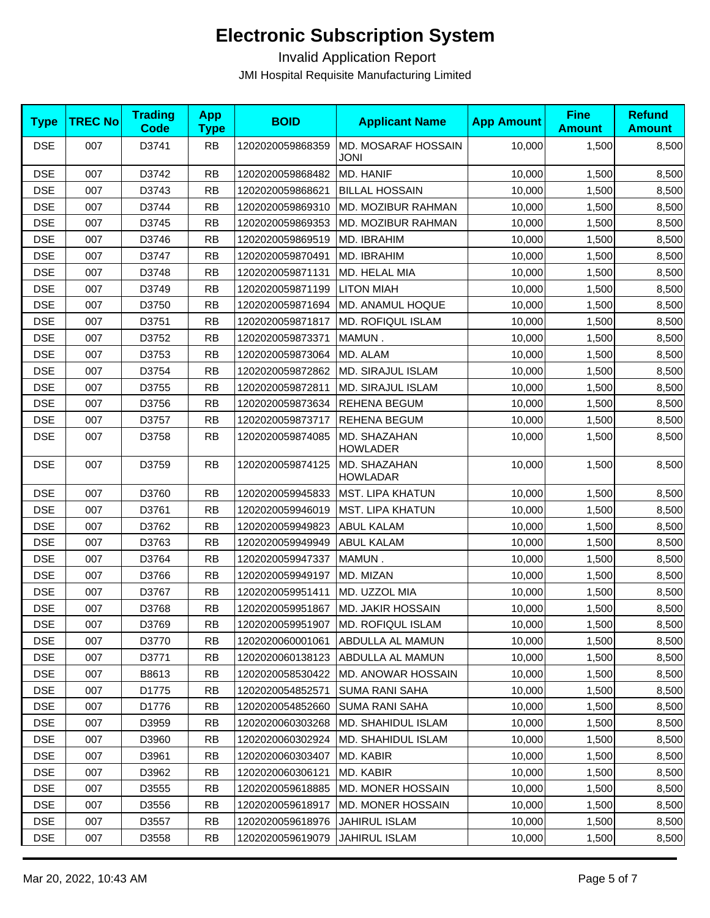| <b>Type</b> | <b>TREC No</b> | <b>Trading</b><br><b>Code</b> | <b>App</b><br><b>Type</b> | <b>BOID</b>      | <b>Applicant Name</b>                | <b>App Amount</b> | <b>Fine</b><br><b>Amount</b> | <b>Refund</b><br><b>Amount</b> |
|-------------|----------------|-------------------------------|---------------------------|------------------|--------------------------------------|-------------------|------------------------------|--------------------------------|
| <b>DSE</b>  | 007            | D3741                         | <b>RB</b>                 | 1202020059868359 | MD. MOSARAF HOSSAIN<br><b>JONI</b>   | 10,000            | 1,500                        | 8,500                          |
| <b>DSE</b>  | 007            | D3742                         | <b>RB</b>                 | 1202020059868482 | MD. HANIF                            | 10,000            | 1,500                        | 8,500                          |
| <b>DSE</b>  | 007            | D3743                         | <b>RB</b>                 | 1202020059868621 | <b>BILLAL HOSSAIN</b>                | 10,000            | 1,500                        | 8,500                          |
| <b>DSE</b>  | 007            | D3744                         | <b>RB</b>                 | 1202020059869310 | MD. MOZIBUR RAHMAN                   | 10,000            | 1,500                        | 8,500                          |
| <b>DSE</b>  | 007            | D3745                         | <b>RB</b>                 | 1202020059869353 | MD. MOZIBUR RAHMAN                   | 10,000            | 1,500                        | 8,500                          |
| <b>DSE</b>  | 007            | D3746                         | <b>RB</b>                 | 1202020059869519 | MD. IBRAHIM                          | 10,000            | 1,500                        | 8,500                          |
| <b>DSE</b>  | 007            | D3747                         | <b>RB</b>                 | 1202020059870491 | MD. IBRAHIM                          | 10,000            | 1,500                        | 8,500                          |
| <b>DSE</b>  | 007            | D3748                         | <b>RB</b>                 | 1202020059871131 | MD. HELAL MIA                        | 10,000            | 1,500                        | 8,500                          |
| <b>DSE</b>  | 007            | D3749                         | <b>RB</b>                 | 1202020059871199 | <b>LITON MIAH</b>                    | 10,000            | 1,500                        | 8,500                          |
| <b>DSE</b>  | 007            | D3750                         | <b>RB</b>                 | 1202020059871694 | MD. ANAMUL HOQUE                     | 10,000            | 1,500                        | 8,500                          |
| <b>DSE</b>  | 007            | D3751                         | <b>RB</b>                 | 1202020059871817 | <b>MD. ROFIQUL ISLAM</b>             | 10,000            | 1,500                        | 8,500                          |
| <b>DSE</b>  | 007            | D3752                         | <b>RB</b>                 | 1202020059873371 | MAMUN.                               | 10,000            | 1,500                        | 8,500                          |
| <b>DSE</b>  | 007            | D3753                         | <b>RB</b>                 | 1202020059873064 | MD. ALAM                             | 10,000            | 1,500                        | 8,500                          |
| <b>DSE</b>  | 007            | D3754                         | <b>RB</b>                 | 1202020059872862 | <b>MD. SIRAJUL ISLAM</b>             | 10,000            | 1,500                        | 8,500                          |
| <b>DSE</b>  | 007            | D3755                         | <b>RB</b>                 | 1202020059872811 | MD. SIRAJUL ISLAM                    | 10,000            | 1,500                        | 8,500                          |
| <b>DSE</b>  | 007            | D3756                         | <b>RB</b>                 | 1202020059873634 | REHENA BEGUM                         | 10,000            | 1,500                        | 8,500                          |
| <b>DSE</b>  | 007            | D3757                         | <b>RB</b>                 | 1202020059873717 | <b>REHENA BEGUM</b>                  | 10,000            | 1,500                        | 8,500                          |
| <b>DSE</b>  | 007            | D3758                         | <b>RB</b>                 | 1202020059874085 | MD. SHAZAHAN<br><b>HOWLADER</b>      | 10,000            | 1,500                        | 8,500                          |
| <b>DSE</b>  | 007            | D3759                         | <b>RB</b>                 | 1202020059874125 | MD. SHAZAHAN<br><b>HOWLADAR</b>      | 10,000            | 1,500                        | 8,500                          |
| <b>DSE</b>  | 007            | D3760                         | <b>RB</b>                 | 1202020059945833 | <b>MST. LIPA KHATUN</b>              | 10,000            | 1,500                        | 8,500                          |
| <b>DSE</b>  | 007            | D3761                         | <b>RB</b>                 | 1202020059946019 | <b>MST. LIPA KHATUN</b>              | 10,000            | 1,500                        | 8,500                          |
| <b>DSE</b>  | 007            | D3762                         | <b>RB</b>                 | 1202020059949823 | <b>ABUL KALAM</b>                    | 10,000            | 1,500                        | 8,500                          |
| <b>DSE</b>  | 007            | D3763                         | <b>RB</b>                 | 1202020059949949 | <b>ABUL KALAM</b>                    | 10,000            | 1,500                        | 8,500                          |
| <b>DSE</b>  | 007            | D3764                         | <b>RB</b>                 | 1202020059947337 | MAMUN.                               | 10,000            | 1,500                        | 8,500                          |
| <b>DSE</b>  | 007            | D3766                         | <b>RB</b>                 | 1202020059949197 | MD. MIZAN                            | 10,000            | 1,500                        | 8,500                          |
| <b>DSE</b>  | 007            | D3767                         | <b>RB</b>                 | 1202020059951411 | MD. UZZOL MIA                        | 10,000            | 1,500                        | 8,500                          |
| <b>DSE</b>  | 007            | D3768                         | <b>RB</b>                 | 1202020059951867 | MD. JAKIR HOSSAIN                    | 10,000            | 1,500                        | 8,500                          |
| <b>DSE</b>  | 007            | D3769                         | <b>RB</b>                 |                  | 1202020059951907   MD. ROFIQUL ISLAM | 10,000            | 1,500                        | 8,500                          |
| <b>DSE</b>  | 007            | D3770                         | <b>RB</b>                 | 1202020060001061 | ABDULLA AL MAMUN                     | 10,000            | 1,500                        | 8,500                          |
| <b>DSE</b>  | 007            | D3771                         | <b>RB</b>                 | 1202020060138123 | ABDULLA AL MAMUN                     | 10,000            | 1,500                        | 8,500                          |
| <b>DSE</b>  | 007            | B8613                         | <b>RB</b>                 | 1202020058530422 | MD. ANOWAR HOSSAIN                   | 10,000            | 1,500                        | 8,500                          |
| <b>DSE</b>  | 007            | D1775                         | <b>RB</b>                 | 1202020054852571 | <b>SUMA RANI SAHA</b>                | 10,000            | 1,500                        | 8,500                          |
| <b>DSE</b>  | 007            | D1776                         | <b>RB</b>                 | 1202020054852660 | <b>SUMA RANI SAHA</b>                | 10,000            | 1,500                        | 8,500                          |
| <b>DSE</b>  | 007            | D3959                         | <b>RB</b>                 | 1202020060303268 | MD. SHAHIDUL ISLAM                   | 10,000            | 1,500                        | 8,500                          |
| <b>DSE</b>  | 007            | D3960                         | <b>RB</b>                 | 1202020060302924 | <b>MD. SHAHIDUL ISLAM</b>            | 10,000            | 1,500                        | 8,500                          |
| <b>DSE</b>  | 007            | D3961                         | <b>RB</b>                 | 1202020060303407 | MD. KABIR                            | 10,000            | 1,500                        | 8,500                          |
| <b>DSE</b>  | 007            | D3962                         | <b>RB</b>                 | 1202020060306121 | MD. KABIR                            | 10,000            | 1,500                        | 8,500                          |
| <b>DSE</b>  | 007            | D3555                         | <b>RB</b>                 | 1202020059618885 | MD. MONER HOSSAIN                    | 10,000            | 1,500                        | 8,500                          |
| <b>DSE</b>  | 007            | D3556                         | <b>RB</b>                 | 1202020059618917 | MD. MONER HOSSAIN                    | 10,000            | 1,500                        | 8,500                          |
| <b>DSE</b>  | 007            | D3557                         | <b>RB</b>                 | 1202020059618976 | <b>JAHIRUL ISLAM</b>                 | 10,000            | 1,500                        | 8,500                          |
| <b>DSE</b>  | 007            | D3558                         | <b>RB</b>                 | 1202020059619079 | <b>JAHIRUL ISLAM</b>                 | 10,000            | 1,500                        | 8,500                          |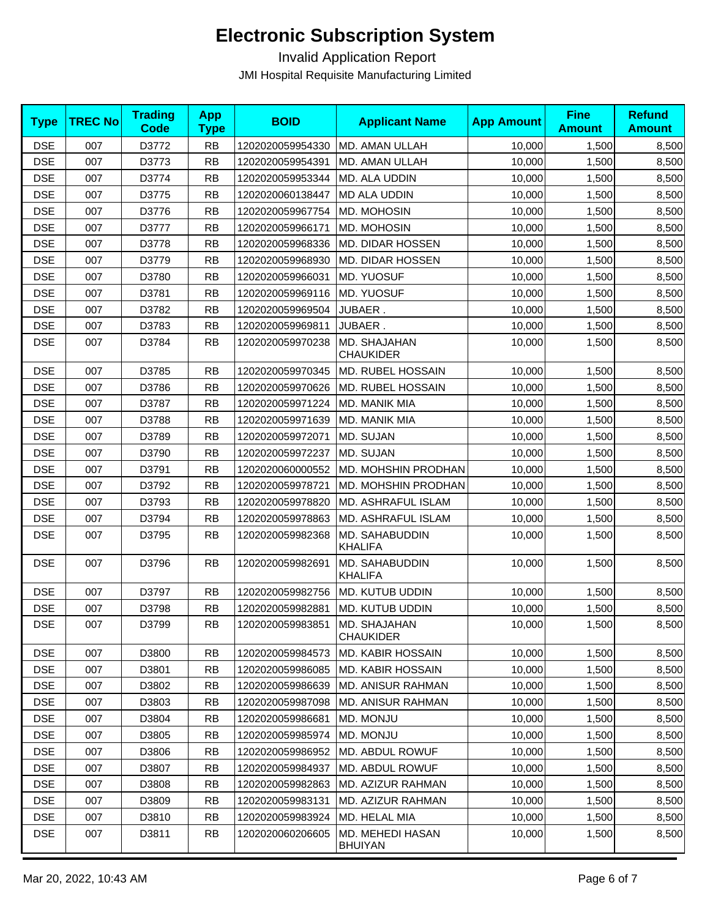| <b>Type</b> | <b>TREC No</b> | <b>Trading</b><br><b>Code</b> | <b>App</b><br><b>Type</b> | <b>BOID</b>      | <b>Applicant Name</b>              | <b>App Amount</b> | <b>Fine</b><br><b>Amount</b> | <b>Refund</b><br><b>Amount</b> |
|-------------|----------------|-------------------------------|---------------------------|------------------|------------------------------------|-------------------|------------------------------|--------------------------------|
| <b>DSE</b>  | 007            | D3772                         | <b>RB</b>                 | 1202020059954330 | MD. AMAN ULLAH                     | 10,000            | 1,500                        | 8,500                          |
| <b>DSE</b>  | 007            | D3773                         | <b>RB</b>                 | 1202020059954391 | MD. AMAN ULLAH                     | 10,000            | 1,500                        | 8,500                          |
| <b>DSE</b>  | 007            | D3774                         | <b>RB</b>                 | 1202020059953344 | MD. ALA UDDIN                      | 10,000            | 1,500                        | 8,500                          |
| <b>DSE</b>  | 007            | D3775                         | <b>RB</b>                 | 1202020060138447 | <b>MD ALA UDDIN</b>                | 10,000            | 1,500                        | 8,500                          |
| <b>DSE</b>  | 007            | D3776                         | <b>RB</b>                 | 1202020059967754 | MD. MOHOSIN                        | 10,000            | 1,500                        | 8,500                          |
| <b>DSE</b>  | 007            | D3777                         | <b>RB</b>                 | 1202020059966171 | MD. MOHOSIN                        | 10,000            | 1,500                        | 8,500                          |
| <b>DSE</b>  | 007            | D3778                         | <b>RB</b>                 | 1202020059968336 | MD. DIDAR HOSSEN                   | 10,000            | 1,500                        | 8,500                          |
| <b>DSE</b>  | 007            | D3779                         | <b>RB</b>                 | 1202020059968930 | MD. DIDAR HOSSEN                   | 10,000            | 1,500                        | 8,500                          |
| <b>DSE</b>  | 007            | D3780                         | <b>RB</b>                 | 1202020059966031 | MD. YUOSUF                         | 10,000            | 1,500                        | 8,500                          |
| <b>DSE</b>  | 007            | D3781                         | <b>RB</b>                 | 1202020059969116 | MD. YUOSUF                         | 10,000            | 1,500                        | 8,500                          |
| <b>DSE</b>  | 007            | D3782                         | <b>RB</b>                 | 1202020059969504 | JUBAER.                            | 10,000            | 1,500                        | 8,500                          |
| <b>DSE</b>  | 007            | D3783                         | <b>RB</b>                 | 1202020059969811 | JUBAER.                            | 10,000            | 1,500                        | 8,500                          |
| <b>DSE</b>  | 007            | D3784                         | <b>RB</b>                 | 1202020059970238 | MD. SHAJAHAN<br><b>CHAUKIDER</b>   | 10,000            | 1,500                        | 8,500                          |
| <b>DSE</b>  | 007            | D3785                         | <b>RB</b>                 | 1202020059970345 | MD. RUBEL HOSSAIN                  | 10,000            | 1,500                        | 8,500                          |
| <b>DSE</b>  | 007            | D3786                         | <b>RB</b>                 | 1202020059970626 | MD. RUBEL HOSSAIN                  | 10,000            | 1,500                        | 8,500                          |
| <b>DSE</b>  | 007            | D3787                         | <b>RB</b>                 | 1202020059971224 | MD. MANIK MIA                      | 10,000            | 1,500                        | 8,500                          |
| <b>DSE</b>  | 007            | D3788                         | <b>RB</b>                 | 1202020059971639 | MD. MANIK MIA                      | 10.000            | 1,500                        | 8,500                          |
| <b>DSE</b>  | 007            | D3789                         | <b>RB</b>                 | 1202020059972071 | MD. SUJAN                          | 10,000            | 1,500                        | 8,500                          |
| <b>DSE</b>  | 007            | D3790                         | <b>RB</b>                 | 1202020059972237 | MD. SUJAN                          | 10,000            | 1,500                        | 8,500                          |
| <b>DSE</b>  | 007            | D3791                         | <b>RB</b>                 | 1202020060000552 | MD. MOHSHIN PRODHAN                | 10,000            | 1,500                        | 8,500                          |
| <b>DSE</b>  | 007            | D3792                         | <b>RB</b>                 | 1202020059978721 | MD. MOHSHIN PRODHAN                | 10,000            | 1,500                        | 8,500                          |
| <b>DSE</b>  | 007            | D3793                         | <b>RB</b>                 | 1202020059978820 | MD. ASHRAFUL ISLAM                 | 10,000            | 1,500                        | 8,500                          |
| <b>DSE</b>  | 007            | D3794                         | <b>RB</b>                 | 1202020059978863 | MD. ASHRAFUL ISLAM                 | 10,000            | 1,500                        | 8,500                          |
| <b>DSE</b>  | 007            | D3795                         | <b>RB</b>                 | 1202020059982368 | MD. SAHABUDDIN<br><b>KHALIFA</b>   | 10,000            | 1,500                        | 8,500                          |
| <b>DSE</b>  | 007            | D3796                         | <b>RB</b>                 | 1202020059982691 | MD. SAHABUDDIN<br><b>KHALIFA</b>   | 10,000            | 1,500                        | 8,500                          |
| <b>DSE</b>  | 007            | D3797                         | <b>RB</b>                 | 1202020059982756 | MD. KUTUB UDDIN                    | 10,000            | 1,500                        | 8,500                          |
| <b>DSE</b>  | 007            | D3798                         | <b>RB</b>                 | 1202020059982881 | MD. KUTUB UDDIN                    | 10,000            | 1,500                        | 8,500                          |
| <b>DSE</b>  | 007            | D3799                         | <b>RB</b>                 | 1202020059983851 | MD. SHAJAHAN<br><b>CHAUKIDER</b>   | 10,000            | 1,500                        | 8,500                          |
| <b>DSE</b>  | 007            | D3800                         | <b>RB</b>                 | 1202020059984573 | MD. KABIR HOSSAIN                  | 10,000            | 1,500                        | 8,500                          |
| <b>DSE</b>  | 007            | D3801                         | <b>RB</b>                 | 1202020059986085 | MD. KABIR HOSSAIN                  | 10,000            | 1,500                        | 8,500                          |
| <b>DSE</b>  | 007            | D3802                         | <b>RB</b>                 | 1202020059986639 | MD. ANISUR RAHMAN                  | 10,000            | 1,500                        | 8,500                          |
| <b>DSE</b>  | 007            | D3803                         | <b>RB</b>                 | 1202020059987098 | <b>MD. ANISUR RAHMAN</b>           | 10,000            | 1,500                        | 8,500                          |
| <b>DSE</b>  | 007            | D3804                         | <b>RB</b>                 | 1202020059986681 | MD. MONJU                          | 10,000            | 1,500                        | 8,500                          |
| <b>DSE</b>  | 007            | D3805                         | <b>RB</b>                 | 1202020059985974 | MD. MONJU                          | 10,000            | 1,500                        | 8,500                          |
| <b>DSE</b>  | 007            | D3806                         | <b>RB</b>                 | 1202020059986952 | MD. ABDUL ROWUF                    | 10,000            | 1,500                        | 8,500                          |
| <b>DSE</b>  | 007            | D3807                         | <b>RB</b>                 | 1202020059984937 | MD. ABDUL ROWUF                    | 10,000            | 1,500                        | 8,500                          |
| <b>DSE</b>  | 007            | D3808                         | <b>RB</b>                 | 1202020059982863 | MD. AZIZUR RAHMAN                  | 10,000            | 1,500                        | 8,500                          |
| <b>DSE</b>  | 007            | D3809                         | <b>RB</b>                 | 1202020059983131 | MD. AZIZUR RAHMAN                  | 10,000            | 1,500                        | 8,500                          |
| <b>DSE</b>  | 007            | D3810                         | <b>RB</b>                 | 1202020059983924 | MD. HELAL MIA                      | 10,000            | 1,500                        | 8,500                          |
| <b>DSE</b>  | 007            | D3811                         | <b>RB</b>                 | 1202020060206605 | MD. MEHEDI HASAN<br><b>BHUIYAN</b> | 10,000            | 1,500                        | 8,500                          |